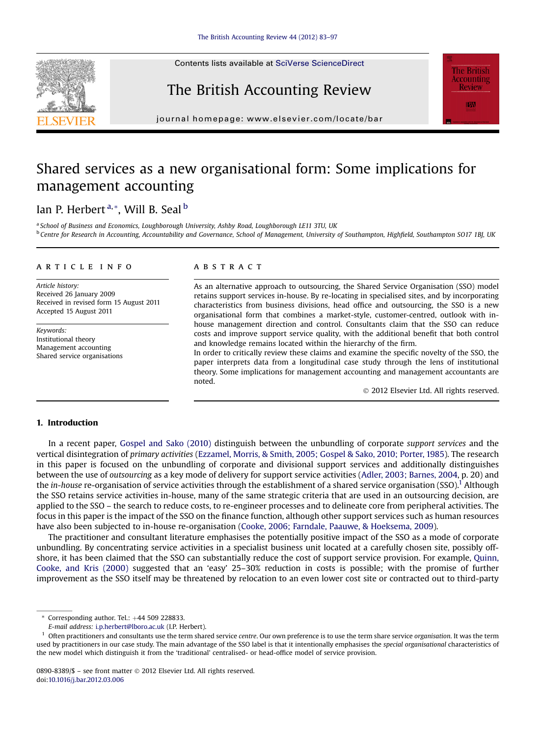

## The British Accounting Review



 $j<sub>0</sub>$ 

# Shared services as a new organisational form: Some implications for management accounting

### Ian P. Herbert<sup>a,\*</sup>, Will B. Seal<sup>b</sup>

a School of Business and Economics, Loughborough University, Ashby Road, Loughborough LE11 3TU, UK <sup>b</sup> Centre for Research in Accounting, Accountability and Governance, School of Management, University of Southampton, Highfield, Southampton SO17 1BJ, UK

#### article info

Article history: Received 26 January 2009 Received in revised form 15 August 2011 Accepted 15 August 2011

Keywords: Institutional theory Management accounting Shared service organisations

#### **ABSTRACT**

As an alternative approach to outsourcing, the Shared Service Organisation (SSO) model retains support services in-house. By re-locating in specialised sites, and by incorporating characteristics from business divisions, head office and outsourcing, the SSO is a new organisational form that combines a market-style, customer-centred, outlook with inhouse management direction and control. Consultants claim that the SSO can reduce costs and improve support service quality, with the additional benefit that both control and knowledge remains located within the hierarchy of the firm.

In order to critically review these claims and examine the specific novelty of the SSO, the paper interprets data from a longitudinal case study through the lens of institutional theory. Some implications for management accounting and management accountants are noted.

2012 Elsevier Ltd. All rights reserved.

#### 1. Introduction

In a recent paper, [Gospel and Sako \(2010\)](#page--1-0) distinguish between the unbundling of corporate support services and the vertical disintegration of primary activities ([Ezzamel, Morris, & Smith, 2005; Gospel & Sako, 2010; Porter, 1985](#page--1-0)). The research in this paper is focused on the unbundling of corporate and divisional support services and additionally distinguishes between the use of outsourcing as a key mode of delivery for support service activities [\(Adler, 2003; Barnes, 2004](#page--1-0), p. 20) and the in-house re-organisation of service activities through the establishment of a shared service organisation (SSO).<sup>1</sup> Although the SSO retains service activities in-house, many of the same strategic criteria that are used in an outsourcing decision, are applied to the SSO – the search to reduce costs, to re-engineer processes and to delineate core from peripheral activities. The focus in this paper is the impact of the SSO on the finance function, although other support services such as human resources have also been subjected to in-house re-organisation [\(Cooke, 2006; Farndale, Paauwe, & Hoeksema, 2009](#page--1-0)).

The practitioner and consultant literature emphasises the potentially positive impact of the SSO as a mode of corporate unbundling. By concentrating service activities in a specialist business unit located at a carefully chosen site, possibly offshore, it has been claimed that the SSO can substantially reduce the cost of support service provision. For example, [Quinn,](#page--1-0) [Cooke, and Kris \(2000\)](#page--1-0) suggested that an 'easy' 25–30% reduction in costs is possible; with the promise of further improvement as the SSO itself may be threatened by relocation to an even lower cost site or contracted out to third-party

 $*$  Corresponding author. Tel.:  $+44$  509 228833.

E-mail address: [i.p.herbert@lboro.ac.uk](mailto:i.p.herbert@lboro.ac.uk) (I.P. Herbert).

 $1$  Often practitioners and consultants use the term shared service centre. Our own preference is to use the term share service organisation. It was the term used by practitioners in our case study. The main advantage of the SSO label is that it intentionally emphasises the special organisational characteristics of the new model which distinguish it from the 'traditional' centralised- or head-office model of service provision.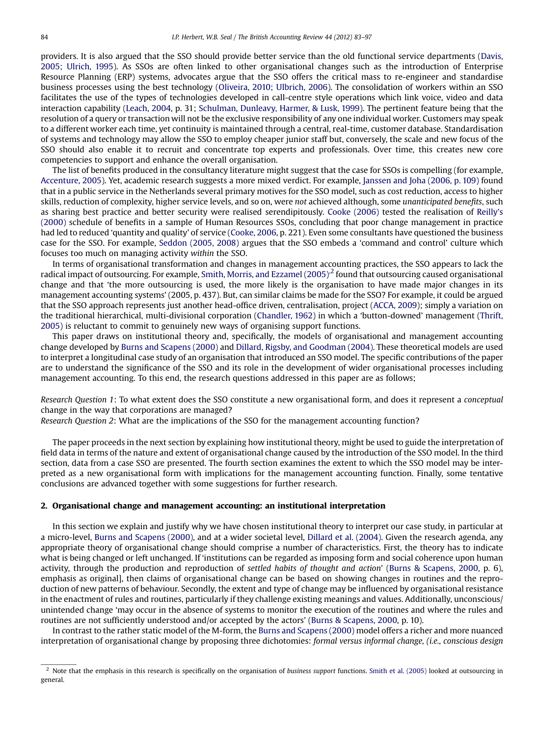providers. It is also argued that the SSO should provide better service than the old functional service departments ([Davis,](#page--1-0) [2005; Ulrich, 1995](#page--1-0)). As SSOs are often linked to other organisational changes such as the introduction of Enterprise Resource Planning (ERP) systems, advocates argue that the SSO offers the critical mass to re-engineer and standardise business processes using the best technology ([Oliveira, 2010; Ulbrich, 2006](#page--1-0)). The consolidation of workers within an SSO facilitates the use of the types of technologies developed in call-centre style operations which link voice, video and data interaction capability [\(Leach, 2004](#page--1-0), p. 31; [Schulman, Dunleavy, Harmer, & Lusk, 1999\)](#page--1-0). The pertinent feature being that the resolution of a query or transaction will not be the exclusive responsibility of any one individual worker. Customers may speak to a different worker each time, yet continuity is maintained through a central, real-time, customer database. Standardisation of systems and technology may allow the SSO to employ cheaper junior staff but, conversely, the scale and new focus of the SSO should also enable it to recruit and concentrate top experts and professionals. Over time, this creates new core competencies to support and enhance the overall organisation.

The list of benefits produced in the consultancy literature might suggest that the case for SSOs is compelling (for example, [Accenture, 2005](#page--1-0)). Yet, academic research suggests a more mixed verdict. For example, [Janssen and Joha \(2006, p. 109\)](#page--1-0) found that in a public service in the Netherlands several primary motives for the SSO model, such as cost reduction, access to higher skills, reduction of complexity, higher service levels, and so on, were not achieved although, some unanticipated benefits, such as sharing best practice and better security were realised serendipitously. [Cooke \(2006\)](#page--1-0) tested the realisation of [Reilly](#page--1-0)'s [\(2000\)](#page--1-0) schedule of benefits in a sample of Human Resources SSOs, concluding that poor change management in practice had led to reduced 'quantity and quality' of service ([Cooke, 2006,](#page--1-0) p. 221). Even some consultants have questioned the business case for the SSO. For example, [Seddon \(2005, 2008\)](#page--1-0) argues that the SSO embeds a 'command and control' culture which focuses too much on managing activity within the SSO.

In terms of organisational transformation and changes in management accounting practices, the SSO appears to lack the radical impact of outsourcing. For example, Smith, Morris, and Ezzamel  $(2005)^2$  found that outsourcing caused organisational change and that 'the more outsourcing is used, the more likely is the organisation to have made major changes in its management accounting systems' (2005, p. 437). But, can similar claims be made for the SSO? For example, it could be argued that the SSO approach represents just another head-office driven, centralisation, project ([ACCA, 2009](#page--1-0)); simply a variation on the traditional hierarchical, multi-divisional corporation [\(Chandler, 1962](#page--1-0)) in which a 'button-downed' management [\(Thrift,](#page--1-0) [2005](#page--1-0)) is reluctant to commit to genuinely new ways of organising support functions.

This paper draws on institutional theory and, specifically, the models of organisational and management accounting change developed by [Burns and Scapens \(2000\)](#page--1-0) and [Dillard, Rigsby, and Goodman \(2004\)](#page--1-0). These theoretical models are used to interpret a longitudinal case study of an organisation that introduced an SSO model. The specific contributions of the paper are to understand the significance of the SSO and its role in the development of wider organisational processes including management accounting. To this end, the research questions addressed in this paper are as follows;

Research Question 1: To what extent does the SSO constitute a new organisational form, and does it represent a conceptual change in the way that corporations are managed?

Research Question 2: What are the implications of the SSO for the management accounting function?

The paper proceeds in the next section by explaining how institutional theory, might be used to guide the interpretation of field data in terms of the nature and extent of organisational change caused by the introduction of the SSO model. In the third section, data from a case SSO are presented. The fourth section examines the extent to which the SSO model may be interpreted as a new organisational form with implications for the management accounting function. Finally, some tentative conclusions are advanced together with some suggestions for further research.

#### 2. Organisational change and management accounting: an institutional interpretation

In this section we explain and justify why we have chosen institutional theory to interpret our case study, in particular at a micro-level, [Burns and Scapens \(2000\),](#page--1-0) and at a wider societal level, [Dillard et al. \(2004\)](#page--1-0). Given the research agenda, any appropriate theory of organisational change should comprise a number of characteristics. First, the theory has to indicate what is being changed or left unchanged. If 'institutions can be regarded as imposing form and social coherence upon human activity, through the production and reproduction of settled habits of thought and action' ([Burns & Scapens, 2000](#page--1-0), p. 6), emphasis as original], then claims of organisational change can be based on showing changes in routines and the reproduction of new patterns of behaviour. Secondly, the extent and type of change may be influenced by organisational resistance in the enactment of rules and routines, particularly if they challenge existing meanings and values. Additionally, unconscious/ unintended change 'may occur in the absence of systems to monitor the execution of the routines and where the rules and routines are not sufficiently understood and/or accepted by the actors' ([Burns & Scapens, 2000](#page--1-0), p. 10).

In contrast to the rather static model of the M-form, the [Burns and Scapens \(2000\)](#page--1-0) model offers a richer and more nuanced interpretation of organisational change by proposing three dichotomies: formal versus informal change, (i.e., conscious design

<sup>&</sup>lt;sup>2</sup> Note that the emphasis in this research is specifically on the organisation of business support functions. [Smith et al. \(2005\)](#page--1-0) looked at outsourcing in general.